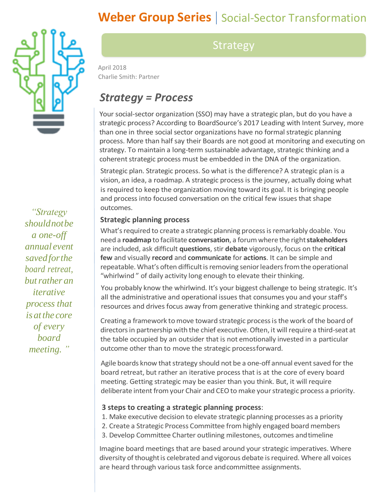# **Weber Group Series** | Social-Sector Transformation



*"Strategy shouldnotbe a one-off annual event savedforthe board retreat, butrather an iterative process that is atthe core of every board meeting. "*

### **Strategy**

April 2018 Charlie Smith: Partner

## *Strategy = Process*

Your social-sector organization (SSO) may have a strategic plan, but do you have a strategic process? According to BoardSource's 2017 Leading with Intent Survey, more than one in three social sector organizations have no formal strategic planning process. More than half say their Boards are not good at monitoring and executing on strategy. To maintain a long-term sustainable advantage, strategic thinking and a coherent strategic process must be embedded in the DNA of the organization.

Strategic plan. Strategic process. So what is the difference? A strategic plan is a vision, an idea, a roadmap. A strategic process is the journey, actually doing what is required to keep the organization moving toward its goal. It is bringing people and process into focused conversation on the critical few issues that shape outcomes.

### **Strategic planning process**

What's required to create a strategic planning process is remarkably doable. You need a **roadmap** to facilitate **conversation**, a forumwhere the right**stakeholders**  are included, ask difficult **questions**, stir **debate** vigorously, focus on the **critical few** and visually **record** and **communicate** for **actions**. It can be simple and repeatable. What's often difficult is removing senior leaders from the operational "whirlwind" of daily activity long enough to elevate their thinking.

You probably know the whirlwind. It's your biggest challenge to being strategic. It's all the administrative and operational issues that consumes you and your staff's resources and drives focus away from generative thinking and strategic process.

Creating a framework to move toward strategic process is the work of the board of directors in partnership with the chief executive. Often, it will require a third-seat at the table occupied by an outsider that is not emotionally invested in a particular outcome other than to move the strategic processforward.

Agile boards know that strategy should not be a one-off annual event saved for the board retreat, but rather an iterative process that is at the core of every board meeting. Getting strategic may be easier than you think. But, it will require deliberate intent from your Chair and CEO to make your strategic process a priority.

#### **3 steps to creating a strategic planning process**:

1. Make executive decision to elevate strategic planning processes as a priority

- 2. Create a Strategic Process Committee from highly engaged board members
- 3. Develop Committee Charter outlining milestones, outcomes andtimeline

Imagine board meetings that are based around your strategic imperatives. Where diversity of thought is celebrated and vigorous debate is required. Where all voices are heard through various task force andcommittee assignments.